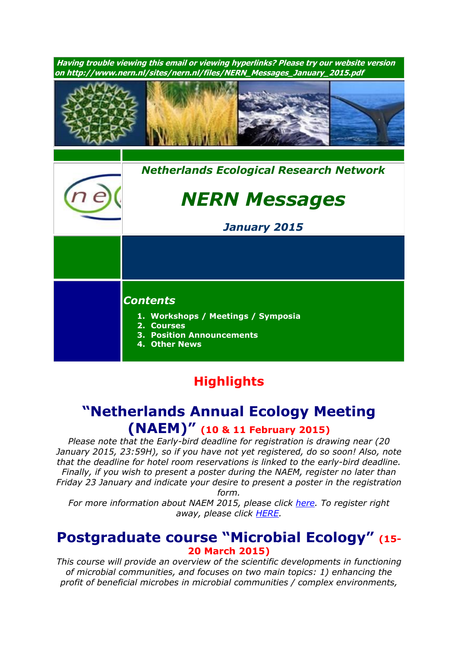**Having trouble viewing this email or viewing hyperlinks? Please try our website version on http://www.nern.nl/sites/nern.nl/files/NERN\_Messages\_January\_2015.pdf** *[Nethe](http://www.nern.nl/)rlands Ecological Research Network NERN Messages January 2015 Contents* **1. Workshops / Meetings / Symposia 2. Courses 3. Position Announcements 4. Other News**

# **Highlights**

## **"Netherlands Annual Ecology Meeting (NAEM)" (10 & <sup>11</sup> February 2015)**

*Please note that the Early-bird deadline for registration is drawing near (20 January 2015, 23:59H), so if you have not yet registered, do so soon! Also, note that the deadline for hotel room reservations is linked to the early-bird deadline. Finally, if you wish to present a poster during the NAEM, register no later than Friday 23 January and indicate your desire to present a poster in the registration form.*

*For more information about NAEM 2015, please click [here.](http://nern.nl/NAEM2015) To register right away, please click [HERE.](http://www.nern.nl/node/85)*

### **Postgraduate course "Microbial Ecology" (15- 20 March 2015)**

*This course will provide an overview of the scientific developments in functioning of microbial communities, and focuses on two main topics: 1) enhancing the profit of beneficial microbes in microbial communities / complex environments,*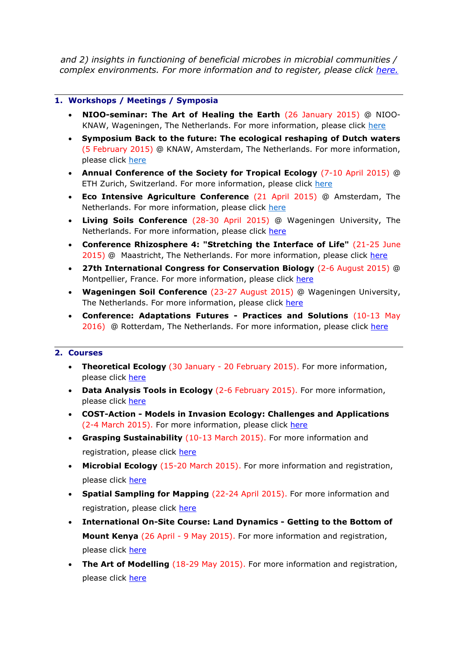*and 2) insights in functioning of beneficial microbes in microbial communities / complex environments. For more information and to register, please click [here.](http://www.pe-rc.nl/database/Courses%20and%20Activities/PE-RC%20postgraduate%20courses/Microbial%20Ecology.htm)*

#### **1. Workshops / Meetings / Symposia**

- **NIOO-seminar: The Art of Healing the Earth** (26 January 2015) @ NIOOKNAW, Wageningen, The Netherlands. For more information, please click [here](http://nern.nl/sites/nern.nl/files/NIOO%20seminar.pdf)
- **Symposium Back to the future: The ecological reshaping of Dutch waters**  (5 February 2015) @ KNAW, Amsterdam, The Netherlands. For more information, please click [here](http://www.wetland-ecology.nl/symposium.htm)
- **Annual Conference of the Society for Tropical Ecology** (7-10 April 2015) @ ETH Zurich, Switzerland. For more information, please click [here](http://www.gtoe-conference.de/)
- **Eco Intensive Agriculture Conference** (21 April 2015) @ Amsterdam, The Netherlands. For more information, please click [here](https://nioo.knaw.nl/en/towards-ecology-intensive-agriculture-learning-nature#quicktabs-qt_eco_agro=0)
- **Living Soils Conference** (28-30 April 2015) @ Wageningen University, The Netherlands. For more information, please click [here](http://www.wageningenur.nl/livingsoils)
- **Conference Rhizosphere 4: "Stretching the Interface of Life"** (21-25 June 2015) @ Maastricht, The Netherlands. For more information, please click [here](http://www.rhizo4.org/)
- **27th International Congress for Conservation Biology** (2-6 August 2015) @ Montpellier, France. For more information, please click [here](http://www.iccb-eccb2015.org/)
- **Wageningen Soil Conference** (23-27 August 2015) @ Wageningen University, The Netherlands. For more information, please click [here](http://www.wageningenur.nl/en/Research-Results/Projects-and-programmes/Wageningen-Soil-Conference.htm)
- **Conference: Adaptations Futures - Practices and Solutions** (10-13 May 2016) @ Rotterdam, The Netherlands. For more information, please click [here](http://www.adaptationfutures2016.org/)

#### **2. Courses**

- **Theoretical Ecology** (30 January 20 February 2015). For more information, please click [here](http://www.pe-rc.nl/database/Courses%20and%20Activities/PE-RC%20postgraduate%20courses/Theoretical%20Ecology.htm)
- **Data Analysis Tools in Ecology** (2-6 February 2015). For more information, please click [here](http://www1.ci.uc.pt/imar/mvs_15/index.php)
- **COST-Action - Models in Invasion Ecology: Challenges and Applications**  (2-4 March 2015). For more information, please click [here](http://www.nern.nl/sites/nern.nl/files/Training%20school%20Porto%20lr.pdf)
- **Grasping Sustainability** (10-13 March 2015). For more information and registration, please click [here](http://www.sense.nl/courses/search/item/10844532/Grasping-Sustainability)
- **Microbial Ecology** (15-20 March 2015). For more information and registration, please click [here](http://www.pe-rc.nl/database/Courses%20and%20Activities/PE-RC%20postgraduate%20courses/Microbial%20Ecology.htm)
- **Spatial Sampling for Mapping** (22-24 April 2015). For more information and registration, please click [here](http://www.pe-rc.nl/database/Courses%20and%20Activities/PE-RC%20postgraduate%20courses/spatial%20sampling%20for%20mapping.htm)
- **International On-Site Course: Land Dynamics - Getting to the Bottom of Mount Kenya** (26 April - 9 May 2015). For more information and registration, please click [here](http://www.pe-rc.nl/database/Courses%20and%20Activities/PE-RC%20postgraduate%20courses/Land%20dynamics%202015.htm)
- **The Art of Modelling** (18-29 May 2015). For more information and registration, please click [here](http://www.pe-rc.nl/database/Courses%20and%20Activities/PE-RC%20postgraduate%20courses/The%20art%20of%20modelling.htm)